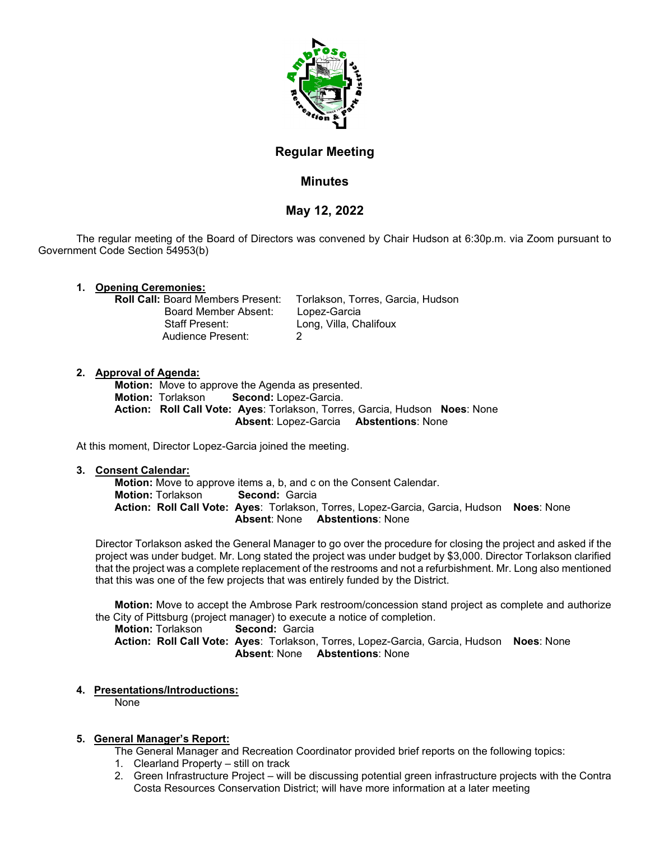

# **Regular Meeting**

# **Minutes**

# **May 12, 2022**

The regular meeting of the Board of Directors was convened by Chair Hudson at 6:30p.m. via Zoom pursuant to Government Code Section 54953(b)

**1. Opening Ceremonies: Board Member Absent:**<br>Staff Present: Audience Present: 2

Torlakson, Torres, Garcia, Hudson, Lopez-Garcia Long, Villa, Chalifoux

## **2. Approval of Agenda:**

**Motion:** Move to approve the Agenda as presented.<br>**Motion:** Torlakson **Second:** Lopez-Garcia. **Second:** Lopez-Garcia.  **Action: Roll Call Vote: Ayes**: Torlakson, Torres, Garcia, Hudson **Noes**: None  **Absent**: Lopez-Garcia **Abstentions**: None

At this moment, Director Lopez-Garcia joined the meeting.

## **3. Consent Calendar:**

**Motion:** Move to approve items a, b, and c on the Consent Calendar.<br>**Motion:** Torlakson **Second:** Garcia **Motion: Torlakson Action: Roll Call Vote: Ayes**: Torlakson, Torres, Lopez-Garcia, Garcia, Hudson **Noes**: None  **Absent**: None **Abstentions**: None

Director Torlakson asked the General Manager to go over the procedure for closing the project and asked if the project was under budget. Mr. Long stated the project was under budget by \$3,000. Director Torlakson clarified that the project was a complete replacement of the restrooms and not a refurbishment. Mr. Long also mentioned that this was one of the few projects that was entirely funded by the District.

**Motion:** Move to accept the Ambrose Park restroom/concession stand project as complete and authorize the City of Pittsburg (project manager) to execute a notice of completion.

**Motion:** Torlakson **Second:** Garcia **Action: Roll Call Vote: Ayes**: Torlakson, Torres, Lopez-Garcia, Garcia, Hudson **Noes**: None  **Absent**: None **Abstentions**: None

**4. Presentations/Introductions:**

None

## **5. General Manager's Report:**

- The General Manager and Recreation Coordinator provided brief reports on the following topics:
- 1. Clearland Property still on track
- 2. Green Infrastructure Project will be discussing potential green infrastructure projects with the Contra Costa Resources Conservation District; will have more information at a later meeting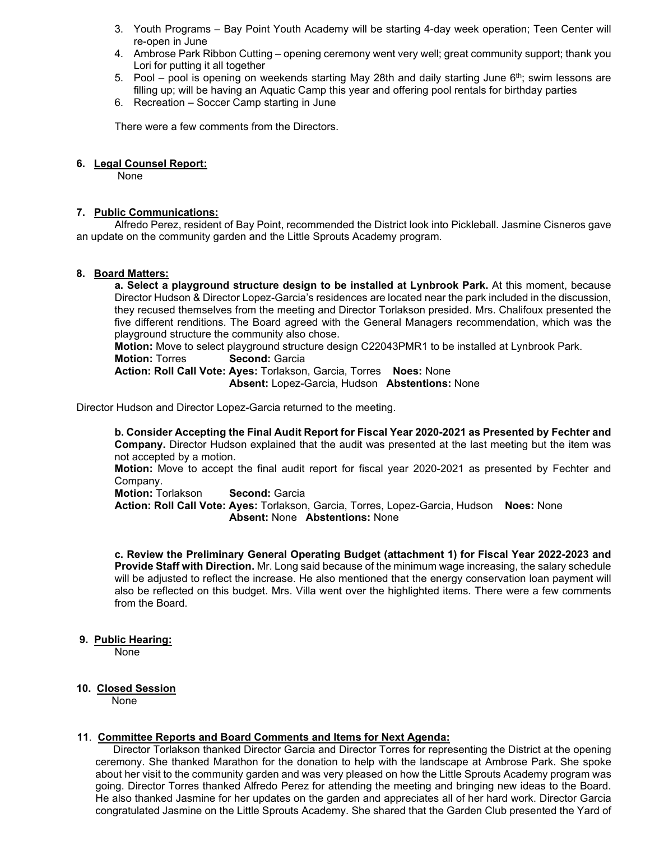- 3. Youth Programs Bay Point Youth Academy will be starting 4-day week operation; Teen Center will re-open in June
- 4. Ambrose Park Ribbon Cutting opening ceremony went very well; great community support; thank you Lori for putting it all together
- 5. Pool pool is opening on weekends starting May 28th and daily starting June  $6<sup>th</sup>$ ; swim lessons are filling up; will be having an Aquatic Camp this year and offering pool rentals for birthday parties
- 6. Recreation Soccer Camp starting in June

There were a few comments from the Directors.

### **6. Legal Counsel Report:**

None

### **7. Public Communications:**

Alfredo Perez, resident of Bay Point, recommended the District look into Pickleball. Jasmine Cisneros gave an update on the community garden and the Little Sprouts Academy program.

#### **8. Board Matters:**

**a. Select a playground structure design to be installed at Lynbrook Park.** At this moment, because Director Hudson & Director Lopez-Garcia's residences are located near the park included in the discussion, they recused themselves from the meeting and Director Torlakson presided. Mrs. Chalifoux presented the five different renditions. The Board agreed with the General Managers recommendation, which was the playground structure the community also chose.

**Motion:** Move to select playground structure design C22043PMR1 to be installed at Lynbrook Park.

**Motion: Torres Second: Garcia** 

**Action: Roll Call Vote: Ayes:** Torlakson, Garcia, Torres **Noes:** None **Absent:** Lopez-Garcia, Hudson **Abstentions:** None

Director Hudson and Director Lopez-Garcia returned to the meeting.

 **b. Consider Accepting the Final Audit Report for Fiscal Year 2020-2021 as Presented by Fechter and Company.** Director Hudson explained that the audit was presented at the last meeting but the item was not accepted by a motion.

**Motion:** Move to accept the final audit report for fiscal year 2020-2021 as presented by Fechter and Company.

**Motion: Torlakson <b>Second:** Garcia **Action: Roll Call Vote: Ayes:** Torlakson, Garcia, Torres, Lopez-Garcia, Hudson **Noes:** None **Absent:** None **Abstentions:** None

 **c. Review the Preliminary General Operating Budget (attachment 1) for Fiscal Year 2022-2023 and Provide Staff with Direction.** Mr. Long said because of the minimum wage increasing, the salary schedule will be adjusted to reflect the increase. He also mentioned that the energy conservation loan payment will also be reflected on this budget. Mrs. Villa went over the highlighted items. There were a few comments from the Board.

#### **9. Public Hearing:**

None

## **10. Closed Session**

None

#### **11**. **Committee Reports and Board Comments and Items for Next Agenda:**

 Director Torlakson thanked Director Garcia and Director Torres for representing the District at the opening ceremony. She thanked Marathon for the donation to help with the landscape at Ambrose Park. She spoke about her visit to the community garden and was very pleased on how the Little Sprouts Academy program was going. Director Torres thanked Alfredo Perez for attending the meeting and bringing new ideas to the Board. He also thanked Jasmine for her updates on the garden and appreciates all of her hard work. Director Garcia congratulated Jasmine on the Little Sprouts Academy. She shared that the Garden Club presented the Yard of